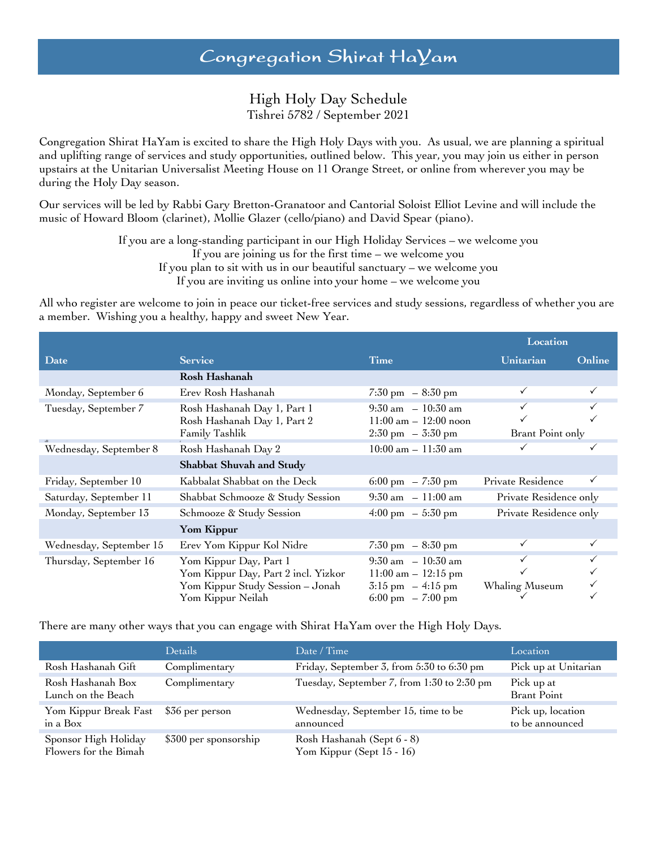# High Holy Day Schedule Tishrei 5782 / September 2021

Congregation Shirat HaYam is excited to share the High Holy Days with you. As usual, we are planning a spiritual and uplifting range of services and study opportunities, outlined below. This year, you may join us either in person upstairs at the Unitarian Universalist Meeting House on 11 Orange Street, or online from wherever you may be during the Holy Day season.

Our services will be led by Rabbi Gary Bretton-Granatoor and Cantorial Soloist Elliot Levine and will include the music of Howard Bloom (clarinet), Mollie Glazer (cello/piano) and David Spear (piano).

> If you are a long-standing participant in our High Holiday Services – we welcome you If you are joining us for the first time – we welcome you If you plan to sit with us in our beautiful sanctuary – we welcome you If you are inviting us online into your home – we welcome you

All who register are welcome to join in peace our ticket-free services and study sessions, regardless of whether you are a member. Wishing you a healthy, happy and sweet New Year.

|                         |                                                                                                                        |                                                                                                                               | Location                         |        |
|-------------------------|------------------------------------------------------------------------------------------------------------------------|-------------------------------------------------------------------------------------------------------------------------------|----------------------------------|--------|
| Date                    | <b>Service</b>                                                                                                         | <b>Time</b>                                                                                                                   | Unitarian                        | Online |
|                         | Rosh Hashanah                                                                                                          |                                                                                                                               |                                  |        |
| Monday, September 6     | Erev Rosh Hashanah                                                                                                     | $7:30 \text{ pm } -8:30 \text{ pm }$                                                                                          |                                  |        |
| Tuesday, September 7    | Rosh Hashanah Day 1, Part 1<br>Rosh Hashanah Day 1, Part 2<br>Family Tashlik                                           | $9:30 \text{ am } -10:30 \text{ am}$<br>$11:00 \text{ am} - 12:00 \text{ noon}$<br>$2:30 \text{ pm } -3:30 \text{ pm }$       | $\checkmark$<br>Brant Point only |        |
| Wednesday, September 8  | Rosh Hashanah Day 2                                                                                                    | $10:00 \text{ am} - 11:30 \text{ am}$                                                                                         |                                  |        |
|                         | Shabbat Shuvah and Study                                                                                               |                                                                                                                               |                                  |        |
| Friday, September 10    | Kabbalat Shabbat on the Deck                                                                                           | 6:00 pm $-7:30$ pm                                                                                                            | Private Residence                |        |
| Saturday, September 11  | Shabbat Schmooze & Study Session                                                                                       | $9:30 \text{ am } -11:00 \text{ am}$                                                                                          | Private Residence only           |        |
| Monday, September 13    | Schmooze & Study Session                                                                                               | $4:00 \text{ pm } -5:30 \text{ pm }$                                                                                          | Private Residence only           |        |
|                         | Yom Kippur                                                                                                             |                                                                                                                               |                                  |        |
| Wednesday, September 15 | Erev Yom Kippur Kol Nidre                                                                                              | $7:30 \text{ pm } -8:30 \text{ pm }$                                                                                          |                                  |        |
| Thursday, September 16  | Yom Kippur Day, Part 1<br>Yom Kippur Day, Part 2 incl. Yizkor<br>Yom Kippur Study Session - Jonah<br>Yom Kippur Neilah | $9:30 \text{ am } -10:30 \text{ am}$<br>$11:00$ am $- 12:15$ pm<br>$3:15 \text{ pm } -4:15 \text{ pm }$<br>6:00 pm $-7:00$ pm | $\checkmark$<br>Whaling Museum   | ✓      |

There are many other ways that you can engage with Shirat HaYam over the High Holy Days.

|                                               | <b>Details</b>        | Date / Time                                             | Location                             |
|-----------------------------------------------|-----------------------|---------------------------------------------------------|--------------------------------------|
| Rosh Hashanah Gift                            | Complimentary         | Friday, September 3, from 5:30 to 6:30 pm               | Pick up at Unitarian                 |
| Rosh Hashanah Box<br>Lunch on the Beach       | Complimentary         | Tuesday, September 7, from 1:30 to 2:30 pm              | Pick up at<br><b>Brant Point</b>     |
| Yom Kippur Break Fast<br>in a Box             | \$36 per person       | Wednesday, September 15, time to be<br>announced        | Pick up, location<br>to be announced |
| Sponsor High Holiday<br>Flowers for the Bimah | \$300 per sponsorship | Rosh Hashanah (Sept 6 - 8)<br>Yom Kippur (Sept 15 - 16) |                                      |